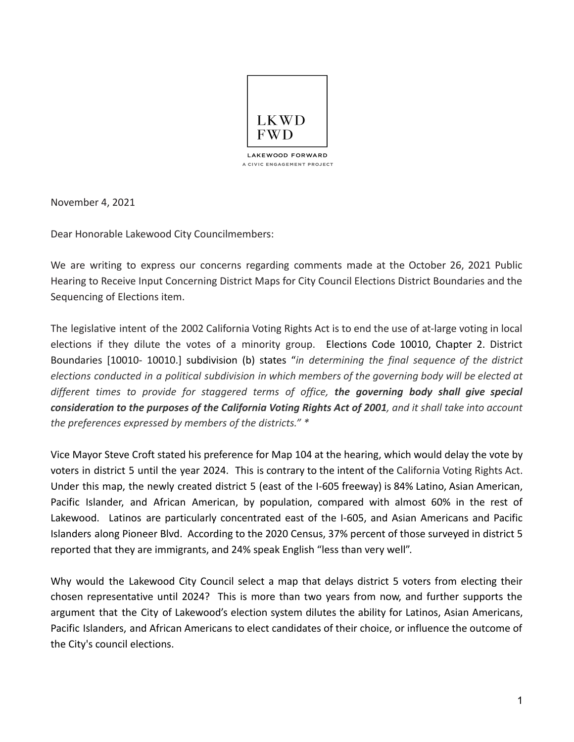

November 4, 2021

Dear Honorable Lakewood City Councilmembers:

We are writing to express our concerns regarding comments made at the October 26, 2021 Public Hearing to Receive Input Concerning District Maps for City Council Elections District Boundaries and the Sequencing of Elections item.

The legislative intent of the 2002 California Voting Rights Act is to end the use of at-large voting in local elections if they dilute the votes of a minority group. Elections Code 10010, Chapter 2. District Boundaries [10010- 10010.] subdivision (b) states "*in determining the final sequence of the district elections conducted in a political subdivision in which members of the governing body will be elected at different times to provide for staggered terms of office, the governing body shall give special* consideration to the purposes of the California Voting Rights Act of 2001, and it shall take into account *the preferences expressed by members of the districts." \**

Vice Mayor Steve Croft stated his preference for Map 104 at the hearing, which would delay the vote by voters in district 5 until the year 2024. This is contrary to the intent of the California Voting Rights Act. Under this map, the newly created district 5 (east of the I-605 freeway) is 84% Latino, Asian American, Pacific Islander, and African American, by population, compared with almost 60% in the rest of Lakewood. Latinos are particularly concentrated east of the I-605, and Asian Americans and Pacific Islanders along Pioneer Blvd. According to the 2020 Census, 37% percent of those surveyed in district 5 reported that they are immigrants, and 24% speak English "less than very well".

Why would the Lakewood City Council select a map that delays district 5 voters from electing their chosen representative until 2024? This is more than two years from now, and further supports the argument that the City of Lakewood's election system dilutes the ability for Latinos, Asian Americans, Pacific Islanders, and African Americans to elect candidates of their choice, or influence the outcome of the City's council elections.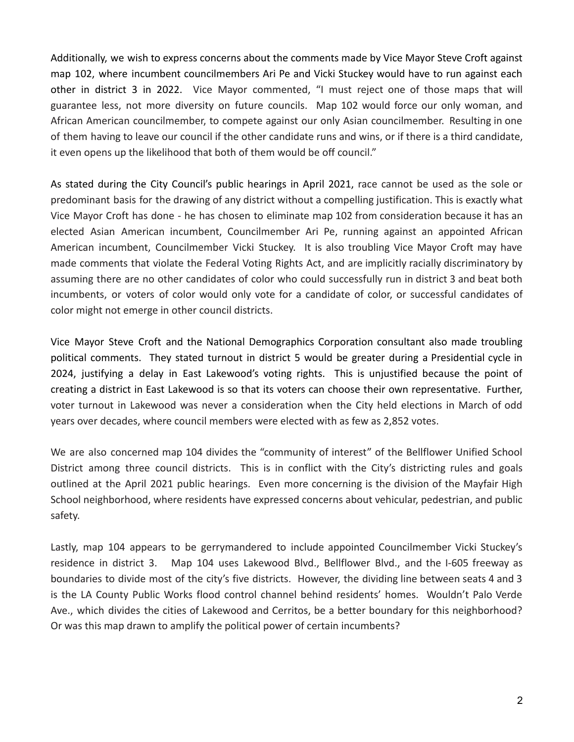Additionally, we wish to express concerns about the comments made by Vice Mayor Steve Croft against map 102, where incumbent councilmembers Ari Pe and Vicki Stuckey would have to run against each other in district 3 in 2022. Vice Mayor commented, "I must reject one of those maps that will guarantee less, not more diversity on future councils. Map 102 would force our only woman, and African American councilmember, to compete against our only Asian councilmember. Resulting in one of them having to leave our council if the other candidate runs and wins, or if there is a third candidate, it even opens up the likelihood that both of them would be off council."

As stated during the City Council's public hearings in April 2021, race cannot be used as the sole or predominant basis for the drawing of any district without a compelling justification. This is exactly what Vice Mayor Croft has done - he has chosen to eliminate map 102 from consideration because it has an elected Asian American incumbent, Councilmember Ari Pe, running against an appointed African American incumbent, Councilmember Vicki Stuckey. It is also troubling Vice Mayor Croft may have made comments that violate the Federal Voting Rights Act, and are implicitly racially discriminatory by assuming there are no other candidates of color who could successfully run in district 3 and beat both incumbents, or voters of color would only vote for a candidate of color, or successful candidates of color might not emerge in other council districts.

Vice Mayor Steve Croft and the National Demographics Corporation consultant also made troubling political comments. They stated turnout in district 5 would be greater during a Presidential cycle in 2024, justifying a delay in East Lakewood's voting rights. This is unjustified because the point of creating a district in East Lakewood is so that its voters can choose their own representative. Further, voter turnout in Lakewood was never a consideration when the City held elections in March of odd years over decades, where council members were elected with as few as 2,852 votes.

We are also concerned map 104 divides the "community of interest" of the Bellflower Unified School District among three council districts. This is in conflict with the City's districting rules and goals outlined at the April 2021 public hearings. Even more concerning is the division of the Mayfair High School neighborhood, where residents have expressed concerns about vehicular, pedestrian, and public safety.

Lastly, map 104 appears to be gerrymandered to include appointed Councilmember Vicki Stuckey's residence in district 3. Map 104 uses Lakewood Blvd., Bellflower Blvd., and the I-605 freeway as boundaries to divide most of the city's five districts. However, the dividing line between seats 4 and 3 is the LA County Public Works flood control channel behind residents' homes. Wouldn't Palo Verde Ave., which divides the cities of Lakewood and Cerritos, be a better boundary for this neighborhood? Or was this map drawn to amplify the political power of certain incumbents?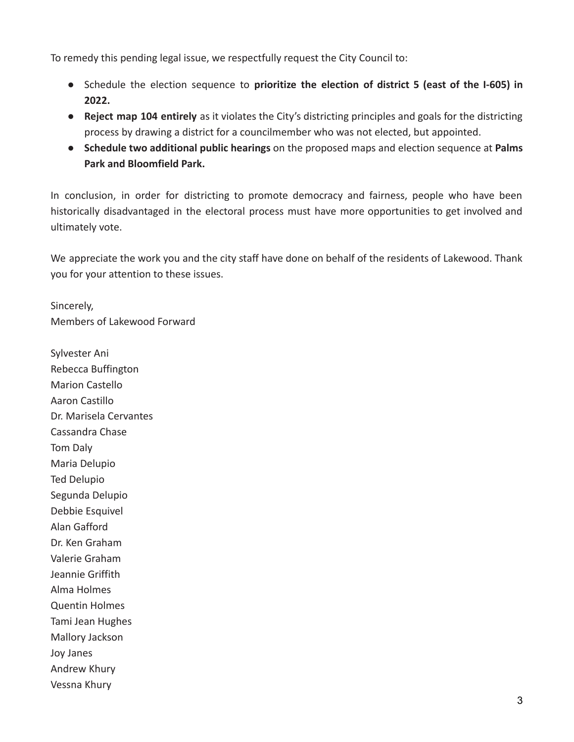To remedy this pending legal issue, we respectfully request the City Council to:

- Schedule the election sequence to **prioritize the election of district 5 (east of the I-605) in 2022.**
- **● Reject map 104 entirely** as it violates the City's districting principles and goals for the districting process by drawing a district for a councilmember who was not elected, but appointed.
- **● Schedule two additional public hearings** on the proposed maps and election sequence at **Palms Park and Bloomfield Park.**

In conclusion, in order for districting to promote democracy and fairness, people who have been historically disadvantaged in the electoral process must have more opportunities to get involved and ultimately vote.

We appreciate the work you and the city staff have done on behalf of the residents of Lakewood. Thank you for your attention to these issues.

Sincerely, Members of Lakewood Forward

Sylvester Ani Rebecca Buffington Marion Castello Aaron Castillo Dr. Marisela Cervantes Cassandra Chase Tom Daly Maria Delupio Ted Delupio Segunda Delupio Debbie Esquivel Alan Gafford Dr. Ken Graham Valerie Graham Jeannie Griffith Alma Holmes Quentin Holmes Tami Jean Hughes Mallory Jackson Joy Janes Andrew Khury Vessna Khury